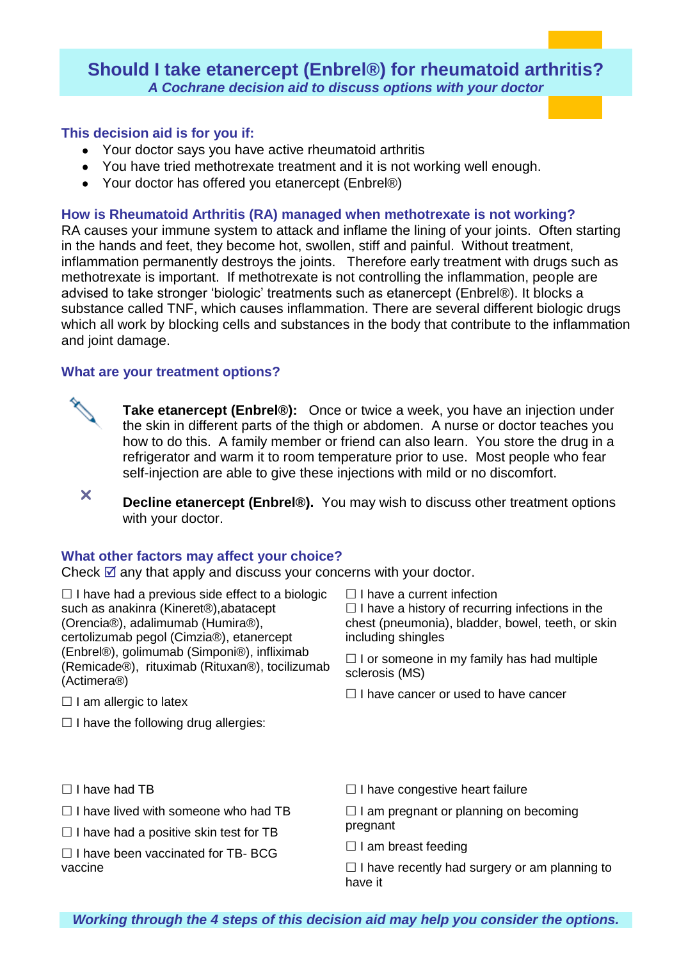# **Should I take etanercept (Enbrel®) for rheumatoid arthritis?** *A Cochrane decision aid to discuss options with your doctor*

# **This decision aid is for you if:**

- Your doctor says you have active rheumatoid arthritis
- You have tried methotrexate treatment and it is not working well enough.
- Your doctor has offered you etanercept (Enbrel®)

## **How is Rheumatoid Arthritis (RA) managed when methotrexate is not working?**

RA causes your immune system to attack and inflame the lining of your joints. Often starting in the hands and feet, they become hot, swollen, stiff and painful. Without treatment, inflammation permanently destroys the joints. Therefore early treatment with drugs such as methotrexate is important. If methotrexate is not controlling the inflammation, people are advised to take stronger 'biologic' treatments such as etanercept (Enbrel®). It blocks a substance called TNF, which causes inflammation. There are several different biologic drugs which all work by blocking cells and substances in the body that contribute to the inflammation and joint damage.

### **What are your treatment options?**



**Take etanercept (Enbrel®):** Once or twice a week, you have an injection under the skin in different parts of the thigh or abdomen. A nurse or doctor teaches you how to do this. A family member or friend can also learn. You store the drug in a refrigerator and warm it to room temperature prior to use. Most people who fear self-injection are able to give these injections with mild or no discomfort.

 **Decline etanercept (Enbrel®).** You may wish to discuss other treatment options with your doctor.

#### **What other factors may affect your choice?**

Check  $\boxtimes$  any that apply and discuss your concerns with your doctor.

 $\Box$  I have had a previous side effect to a biologic such as anakinra (Kineret®),abatacept (Orencia®), adalimumab (Humira®), certolizumab pegol (Cimzia®), etanercept (Enbrel®), golimumab (Simponi®), infliximab (Remicade®), rituximab (Rituxan®), tocilizumab (Actimera®)

- $\Box$  I am allergic to latex
- $\Box$  I have the following drug allergies:

 $\Box$  I have a current infection

 $\Box$  I have a history of recurring infections in the chest (pneumonia), bladder, bowel, teeth, or skin including shingles

 $\Box$  I or someone in my family has had multiple sclerosis (MS)

 $\Box$  I have cancer or used to have cancer

- $\Box$  I have had TB
- $\Box$  I have lived with someone who had TB
- $\Box$  I have had a positive skin test for TB
- $\Box$  I have been vaccinated for TB- BCG vaccine
- $\Box$  I have congestive heart failure

 $\Box$  I am pregnant or planning on becoming pregnant

 $\Box$  I am breast feeding

 $\Box$  I have recently had surgery or am planning to have it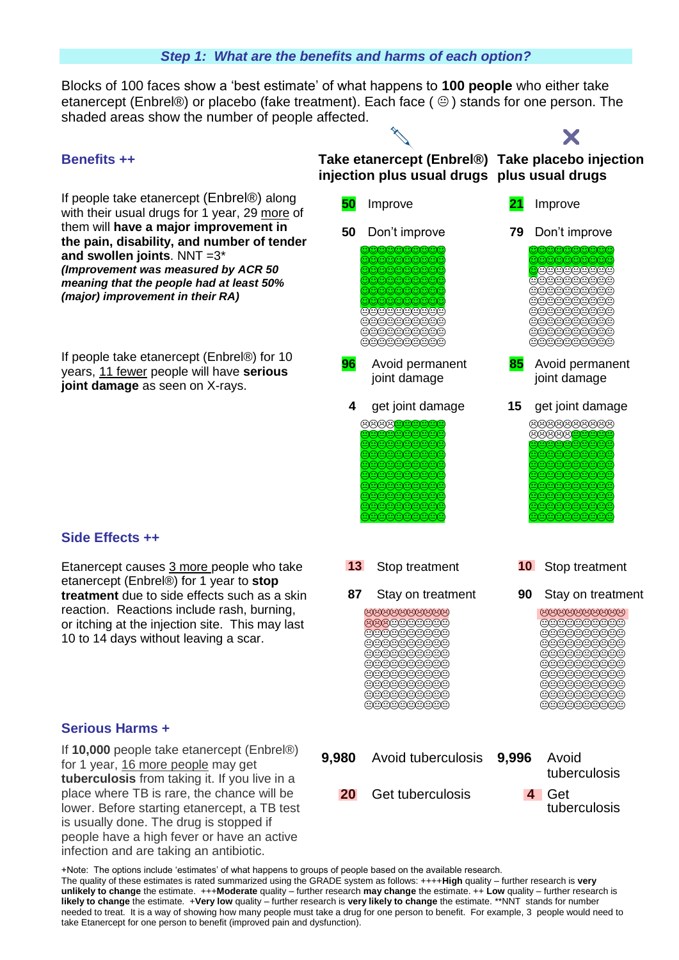#### *Step 1: What are the benefits and harms of each option?*

Blocks of 100 faces show a 'best estimate' of what happens to **100 people** who either take etanercept (Enbrel®) or placebo (fake treatment). Each face ( $\circledcirc$ ) stands for one person. The shaded areas show the number of people affected.

If people take etanercept (Enbrel®) along with their usual drugs for 1 year, 29 more of them will **have a major improvement in the pain, disability, and number of tender and swollen joints**. NNT =3\* *(Improvement was measured by ACR 50 meaning that the people had at least 50% (major) improvement in their RA)* 

If people take etanercept (Enbrel®) for 10 years, 11 fewer people will have **serious joint damage** as seen on X-rays.



X

**90** Stay on treatment 666666666 000000000  $\begin{array}{ccccc} \multicolumn{4}{c}{\text{Cyc}}\\ \multicolumn{4}{c}{\text{Cyc}}\\ \multicolumn{4}{c}{\text{Cyc}}\\ \multicolumn{4}{c}{\text{Cyc}}\\ \multicolumn{4}{c}{\text{Cyc}}\\ \multicolumn{4}{c}{\text{Cyc}}\\ \multicolumn{4}{c}{\text{Cyc}}\\ \multicolumn{4}{c}{\text{Cyc}}\\ \multicolumn{4}{c}{\text{Cyc}}\\ \multicolumn{4}{c}{\text{Cyc}}\\ \multicolumn{4}{c}{\text{Cyc}}\\ \multicolumn{4}{c}{\text{Cyc}}\\ \multicolumn{4}{c}{\text{Cyc}}\\ \multicolumn$ 000000000 eeeeeeee @@@@@@@@@ 000000000 **eeeeeeee** 0000000000 



#### **Side Effects ++**

Etanercept causes 3 more people who take etanercept (Enbrel®) for 1 year to **stop treatment** due to side effects such as a skin reaction. Reactions include rash, burning, or itching at the injection site. This may last 10 to 14 days without leaving a scar.

#### **Serious Harms +**

If **10,000** people take etanercept (Enbrel®) for 1 year, 16 more people may get **tuberculosis** from taking it. If you live in a place where TB is rare, the chance will be lower. Before starting etanercept, a TB test is usually done. The drug is stopped if people have a high fever or have an active infection and are taking an antibiotic.



**87** Stay on treatment 9999999999 666000000 000000000 000000000  $\begin{array}{ccccc}\n\multicolumn{4}{c}\n\multicolumn{4}{c}\n\multicolumn{4}{c}\n\multicolumn{4}{c}\n\multicolumn{4}{c}\n\multicolumn{4}{c}\n\multicolumn{4}{c}\n\multicolumn{4}{c}\n\multicolumn{4}{c}\n\multicolumn{4}{c}\n\multicolumn{4}{c}\n\multicolumn{4}{c}\n\multicolumn{4}{c}\n\multicolumn{4}{c}\n\multicolumn{4}{c}\n\multicolumn{4}{c}\n\multicolumn{4}{c}\n\multicolumn{4}{c}\n\multicolumn{4}{c}\n\multicolumn{4}{c}\n\multicolumn{4}{c}\n\$ 000000000 000000000 000000000  $\begin{array}{ccccc}\n\multicolumn{4}{c}\n\multicolumn{4}{c}\n\multicolumn{4}{c}\n\multicolumn{4}{c}\n\multicolumn{4}{c}\n\multicolumn{4}{c}\n\multicolumn{4}{c}\n\multicolumn{4}{c}\n\multicolumn{4}{c}\n\multicolumn{4}{c}\n\multicolumn{4}{c}\n\multicolumn{4}{c}\n\multicolumn{4}{c}\n\multicolumn{4}{c}\n\multicolumn{4}{c}\n\multicolumn{4}{c}\n\multicolumn{4}{c}\n\multicolumn{4}{c}\n\multicolumn{4}{c}\n\multicolumn{4}{c}\n\multicolumn{4}{c}\n\$ 000000000

+Note: The options include 'estimates' of what happens to groups of people based on the available research. The quality of these estimates is rated summarized using the GRADE system as follows: ++++**High** quality – further research is **very unlikely to change** the estimate. +++**Moderate** quality – further research **may change** the estimate. ++ **Low** quality – further research is **likely to change** the estimate. +**Very low** quality – further research is **very likely to change** the estimate. \*\*NNT stands for number needed to treat. It is a way of showing how many people must take a drug for one person to benefit. For example, 3 people would need to take Etanercept for one person to benefit (improved pain and dysfunction).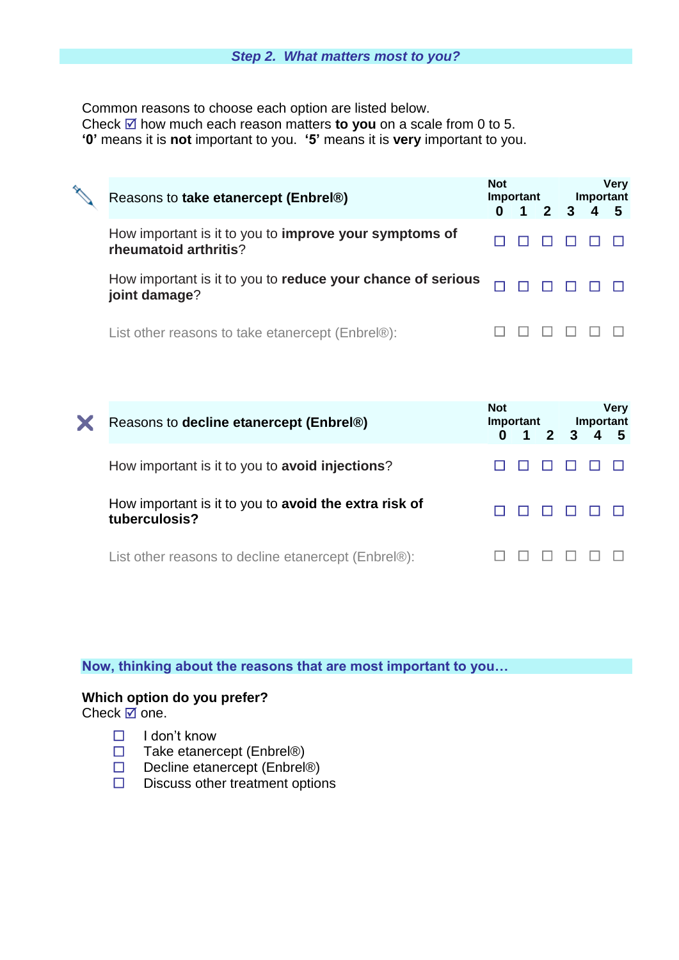Common reasons to choose each option are listed below. Check  $\overline{\omega}$  how much each reason matters **to you** on a scale from 0 to 5. **'0'** means it is **not** important to you. **'5'** means it is **very** important to you.

| Reasons to take etanercept (Enbrel®)                                            | <b>Not</b><br>Important<br>$1 \quad 2 \quad 3 \quad 4$ |  | <b>Very</b><br>Important |  |  |  |
|---------------------------------------------------------------------------------|--------------------------------------------------------|--|--------------------------|--|--|--|
| How important is it to you to improve your symptoms of<br>rheumatoid arthritis? |                                                        |  |                          |  |  |  |
| How important is it to you to reduce your chance of serious<br>joint damage?    |                                                        |  |                          |  |  |  |
| List other reasons to take etanercept (Enbrel®):                                |                                                        |  |                          |  |  |  |

|  | Reasons to decline etanercept (Enbrel®)                                       | <b>Not</b><br>Important |                     |  | <b>Very</b><br>Important |  |     |
|--|-------------------------------------------------------------------------------|-------------------------|---------------------|--|--------------------------|--|-----|
|  |                                                                               |                         | $0 \t1 \t2 \t3 \t4$ |  |                          |  | - 5 |
|  | How important is it to you to <b>avoid injections</b> ?                       |                         |                     |  |                          |  |     |
|  | How important is it to you to <b>avoid the extra risk of</b><br>tuberculosis? |                         |                     |  |                          |  |     |
|  | List other reasons to decline etanercept (Enbrel®):                           |                         |                     |  |                          |  |     |

#### **Now, thinking about the reasons that are most important to you…**

## **Which option do you prefer?**

Check  $\boxtimes$  one.

- $\Box$  I don't know
- $\Box$  Take etanercept (Enbrel®)
- □ Decline etanercept (Enbrel®)
- $\square$  Discuss other treatment options